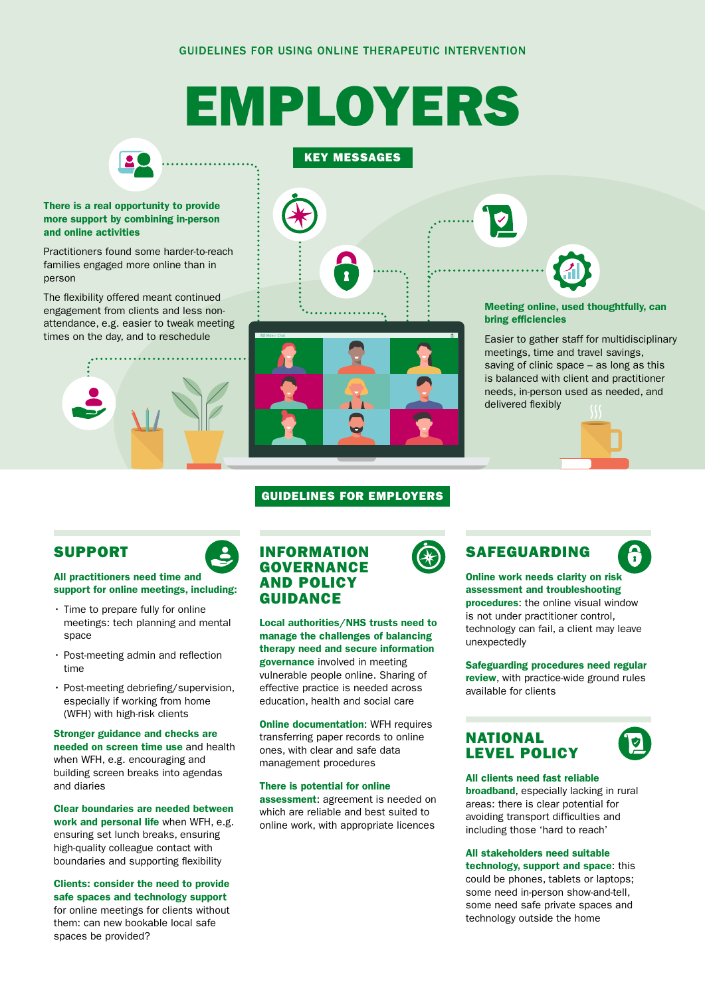# EMPLOYERS



KEY MESSAGES

#### There is a real opportunity to provide more support by combining in-person and online activities

Practitioners found some harder-to-reach families engaged more online than in person

The flexibility offered meant continued engagement from clients and less nonattendance, e.g. easier to tweak meeting times on the day, and to reschedule





Meeting online, used thoughtfully, can bring efficiencies

Easier to gather staff for multidisciplinary meetings, time and travel savings, saving of clinic space – as long as this is balanced with client and practitioner needs, in-person used as needed, and delivered flexibly



#### GUIDELINES FOR EMPLOYERS

### SUPPORT

All practitioners need time and support for online meetings, including:

- Time to prepare fully for online meetings: tech planning and mental space
- Post-meeting admin and reflection time
- Post-meeting debriefing/supervision, especially if working from home (WFH) with high-risk clients

Stronger guidance and checks are needed on screen time use and health when WFH, e.g. encouraging and building screen breaks into agendas and diaries

Clear boundaries are needed between work and personal life when WFH, e.g. ensuring set lunch breaks, ensuring high-quality colleague contact with boundaries and supporting flexibility

Clients: consider the need to provide safe spaces and technology support for online meetings for clients without them: can new bookable local safe spaces be provided?

#### INFORMATION GOVERNANCE AND POLICY GUIDANCE

Local authorities/NHS trusts need to manage the challenges of balancing therapy need and secure information governance involved in meeting vulnerable people online. Sharing of effective practice is needed across education, health and social care

**Online documentation: WFH requires** transferring paper records to online ones, with clear and safe data management procedures

#### There is potential for online assessment: agreement is needed on which are reliable and best suited to online work, with appropriate licences



## $\widehat{\mathbf{r}}$

Online work needs clarity on risk assessment and troubleshooting procedures: the online visual window is not under practitioner control, technology can fail, a client may leave unexpectedly

Safeguarding procedures need regular review, with practice-wide ground rules available for clients

#### NATIONAL LEVEL POLICY



#### All clients need fast reliable

broadband, especially lacking in rural areas: there is clear potential for avoiding transport difficulties and including those 'hard to reach'

#### All stakeholders need suitable

technology, support and space: this could be phones, tablets or laptops; some need in-person show-and-tell, some need safe private spaces and technology outside the home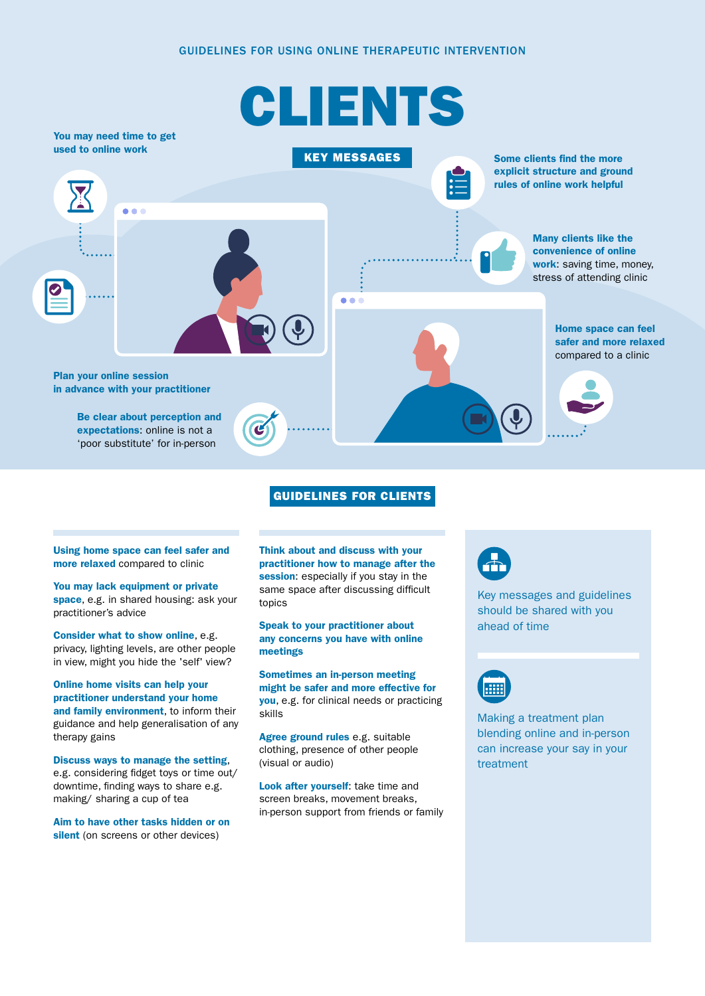#### GUIDELINES FOR USING ONLINE THERAPEUTIC INTERVENTION



#### GUIDELINES FOR CLIENTS

#### Using home space can feel safer and more relaxed compared to clinic

You may lack equipment or private space, e.g. in shared housing: ask your practitioner's advice

Consider what to show online, e.g. privacy, lighting levels, are other people in view, might you hide the 'self' view?

Online home visits can help your practitioner understand your home and family environment, to inform their guidance and help generalisation of any therapy gains

Discuss ways to manage the setting, e.g. considering fidget toys or time out/ downtime, finding ways to share e.g. making/ sharing a cup of tea

Aim to have other tasks hidden or on silent (on screens or other devices)

Think about and discuss with your practitioner how to manage after the session: especially if you stay in the same space after discussing difficult topics

#### Speak to your practitioner about any concerns you have with online meetings

Sometimes an in-person meeting might be safer and more effective for you, e.g. for clinical needs or practicing skills

Agree ground rules e.g. suitable clothing, presence of other people (visual or audio)

Look after yourself: take time and screen breaks, movement breaks, in-person support from friends or family



Key messages and guidelines should be shared with you ahead of time



Making a treatment plan blending online and in-person can increase your say in your treatment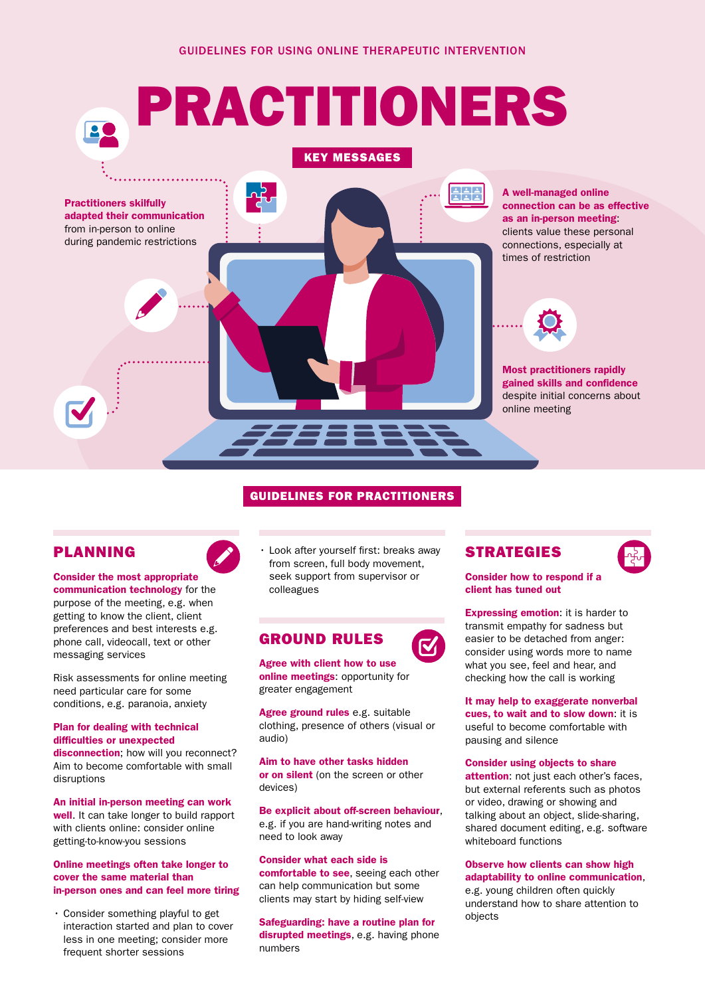

#### GUIDELINES FOR PRACTITIONERS

#### PLANNING

Consider the most appropriate communication technology for the purpose of the meeting, e.g. when getting to know the client, client preferences and best interests e.g. phone call, videocall, text or other messaging services

Risk assessments for online meeting need particular care for some conditions, e.g. paranoia, anxiety

#### Plan for dealing with technical difficulties or unexpected

disconnection: how will you reconnect? Aim to become comfortable with small disruptions

An initial in-person meeting can work well. It can take longer to build rapport with clients online: consider online getting-to-know-you sessions

#### Online meetings often take longer to cover the same material than in-person ones and can feel more tiring

• Consider something playful to get interaction started and plan to cover less in one meeting; consider more frequent shorter sessions

• Look after yourself first: breaks away from screen, full body movement, seek support from supervisor or colleagues

#### GROUND RULES

Agree with client how to use online meetings: opportunity for greater engagement

Agree ground rules e.g. suitable clothing, presence of others (visual or audio)

Aim to have other tasks hidden or on silent (on the screen or other devices)

Be explicit about off-screen behaviour, e.g. if you are hand-writing notes and need to look away

Consider what each side is comfortable to see, seeing each other can help communication but some clients may start by hiding self-view

Safeguarding: have a routine plan for disrupted meetings, e.g. having phone numbers





Consider how to respond if a client has tuned out

**Expressing emotion:** it is harder to transmit empathy for sadness but easier to be detached from anger: consider using words more to name what you see, feel and hear, and checking how the call is working

It may help to exaggerate nonverbal cues, to wait and to slow down: it is useful to become comfortable with pausing and silence

#### Consider using objects to share

attention: not just each other's faces, but external referents such as photos or video, drawing or showing and talking about an object, slide-sharing, shared document editing, e.g. software whiteboard functions

#### Observe how clients can show high adaptability to online communication,

e.g. young children often quickly understand how to share attention to objects